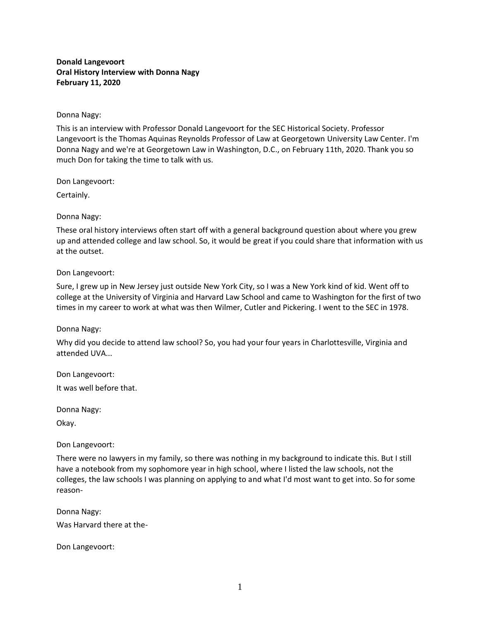## **Donald Langevoort Oral History Interview with Donna Nagy February 11, 2020**

### Donna Nagy:

This is an interview with Professor Donald Langevoort for the SEC Historical Society. Professor Langevoort is the Thomas Aquinas Reynolds Professor of Law at Georgetown University Law Center. I'm Donna Nagy and we're at Georgetown Law in Washington, D.C., on February 11th, 2020. Thank you so much Don for taking the time to talk with us.

Don Langevoort:

Certainly.

### Donna Nagy:

These oral history interviews often start off with a general background question about where you grew up and attended college and law school. So, it would be great if you could share that information with us at the outset.

#### Don Langevoort:

Sure, I grew up in New Jersey just outside New York City, so I was a New York kind of kid. Went off to college at the University of Virginia and Harvard Law School and came to Washington for the first of two times in my career to work at what was then Wilmer, Cutler and Pickering. I went to the SEC in 1978.

### Donna Nagy:

Why did you decide to attend law school? So, you had your four years in Charlottesville, Virginia and attended UVA...

Don Langevoort:

It was well before that.

Donna Nagy:

Okay.

Don Langevoort:

There were no lawyers in my family, so there was nothing in my background to indicate this. But I still have a notebook from my sophomore year in high school, where I listed the law schools, not the colleges, the law schools I was planning on applying to and what I'd most want to get into. So for some reason-

Donna Nagy: Was Harvard there at the-

Don Langevoort: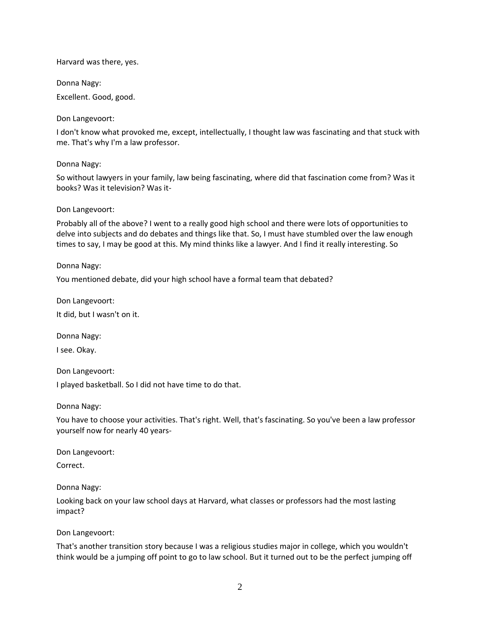Harvard was there, yes.

Donna Nagy:

Excellent. Good, good.

Don Langevoort:

I don't know what provoked me, except, intellectually, I thought law was fascinating and that stuck with me. That's why I'm a law professor.

Donna Nagy:

So without lawyers in your family, law being fascinating, where did that fascination come from? Was it books? Was it television? Was it-

#### Don Langevoort:

Probably all of the above? I went to a really good high school and there were lots of opportunities to delve into subjects and do debates and things like that. So, I must have stumbled over the law enough times to say, I may be good at this. My mind thinks like a lawyer. And I find it really interesting. So

Donna Nagy:

You mentioned debate, did your high school have a formal team that debated?

Don Langevoort:

It did, but I wasn't on it.

Donna Nagy:

I see. Okay.

Don Langevoort:

I played basketball. So I did not have time to do that.

Donna Nagy:

You have to choose your activities. That's right. Well, that's fascinating. So you've been a law professor yourself now for nearly 40 years-

Don Langevoort:

Correct.

Donna Nagy:

Looking back on your law school days at Harvard, what classes or professors had the most lasting impact?

Don Langevoort:

That's another transition story because I was a religious studies major in college, which you wouldn't think would be a jumping off point to go to law school. But it turned out to be the perfect jumping off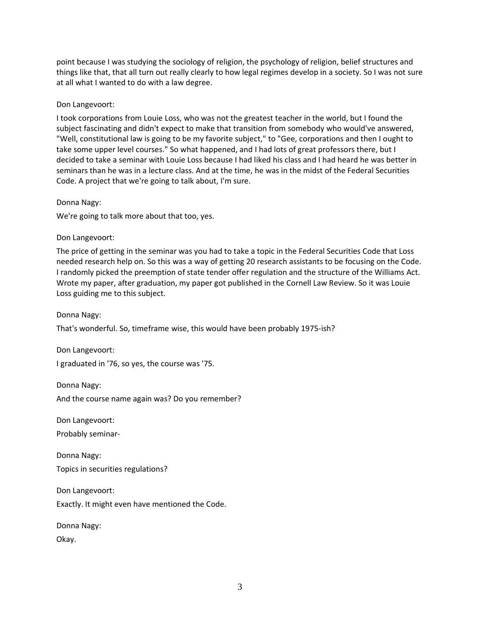point because I was studying the sociology of religion, the psychology of religion, belief structures and things like that, that all turn out really clearly to how legal regimes develop in a society. So I was not sure at all what I wanted to do with a law degree.

### Don Langevoort:

I took corporations from Louie Loss, who was not the greatest teacher in the world, but I found the subject fascinating and didn't expect to make that transition from somebody who would've answered, "Well, constitutional law is going to be my favorite subject," to "Gee, corporations and then I ought to take some upper level courses." So what happened, and I had lots of great professors there, but I decided to take a seminar with Louie Loss because I had liked his class and I had heard he was better in seminars than he was in a lecture class. And at the time, he was in the midst of the Federal Securities Code. A project that we're going to talk about, I'm sure.

### Donna Nagy:

We're going to talk more about that too, yes.

## Don Langevoort:

The price of getting in the seminar was you had to take a topic in the Federal Securities Code that Loss needed research help on. So this was a way of getting 20 research assistants to be focusing on the Code. I randomly picked the preemption of state tender offer regulation and the structure of the Williams Act. Wrote my paper, after graduation, my paper got published in the Cornell Law Review. So it was Louie Loss guiding me to this subject.

Donna Nagy:

That's wonderful. So, timeframe wise, this would have been probably 1975-ish?

Don Langevoort: I graduated in '76, so yes, the course was '75.

Donna Nagy: And the course name again was? Do you remember?

Don Langevoort:

Probably seminar-

Donna Nagy:

Topics in securities regulations?

Don Langevoort:

Exactly. It might even have mentioned the Code.

Donna Nagy: Okay.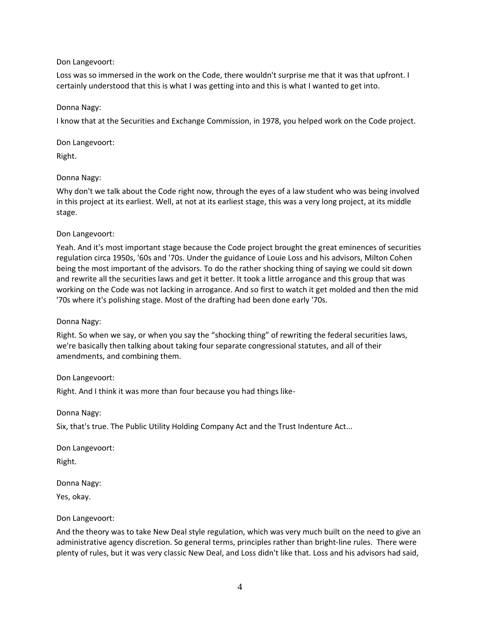Loss was so immersed in the work on the Code, there wouldn't surprise me that it was that upfront. I certainly understood that this is what I was getting into and this is what I wanted to get into.

### Donna Nagy:

I know that at the Securities and Exchange Commission, in 1978, you helped work on the Code project.

Don Langevoort:

Right.

#### Donna Nagy:

Why don't we talk about the Code right now, through the eyes of a law student who was being involved in this project at its earliest. Well, at not at its earliest stage, this was a very long project, at its middle stage.

### Don Langevoort:

Yeah. And it's most important stage because the Code project brought the great eminences of securities regulation circa 1950s, '60s and '70s. Under the guidance of Louie Loss and his advisors, Milton Cohen being the most important of the advisors. To do the rather shocking thing of saying we could sit down and rewrite all the securities laws and get it better. It took a little arrogance and this group that was working on the Code was not lacking in arrogance. And so first to watch it get molded and then the mid '70s where it's polishing stage. Most of the drafting had been done early '70s.

### Donna Nagy:

Right. So when we say, or when you say the "shocking thing" of rewriting the federal securities laws, we're basically then talking about taking four separate congressional statutes, and all of their amendments, and combining them.

### Don Langevoort:

Right. And I think it was more than four because you had things like-

#### Donna Nagy:

Six, that's true. The Public Utility Holding Company Act and the Trust Indenture Act...

Don Langevoort: Right.

Donna Nagy:

Yes, okay.

#### Don Langevoort:

And the theory was to take New Deal style regulation, which was very much built on the need to give an administrative agency discretion. So general terms, principles rather than bright-line rules. There were plenty of rules, but it was very classic New Deal, and Loss didn't like that. Loss and his advisors had said,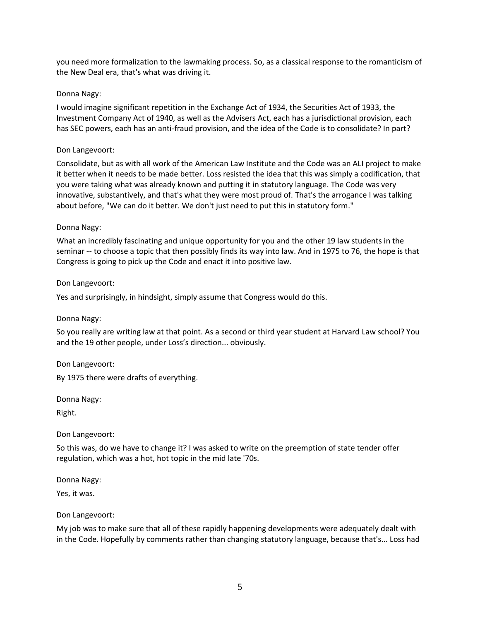you need more formalization to the lawmaking process. So, as a classical response to the romanticism of the New Deal era, that's what was driving it.

### Donna Nagy:

I would imagine significant repetition in the Exchange Act of 1934, the Securities Act of 1933, the Investment Company Act of 1940, as well as the Advisers Act, each has a jurisdictional provision, each has SEC powers, each has an anti-fraud provision, and the idea of the Code is to consolidate? In part?

## Don Langevoort:

Consolidate, but as with all work of the American Law Institute and the Code was an ALI project to make it better when it needs to be made better. Loss resisted the idea that this was simply a codification, that you were taking what was already known and putting it in statutory language. The Code was very innovative, substantively, and that's what they were most proud of. That's the arrogance I was talking about before, "We can do it better. We don't just need to put this in statutory form."

### Donna Nagy:

What an incredibly fascinating and unique opportunity for you and the other 19 law students in the seminar -- to choose a topic that then possibly finds its way into law. And in 1975 to 76, the hope is that Congress is going to pick up the Code and enact it into positive law.

### Don Langevoort:

Yes and surprisingly, in hindsight, simply assume that Congress would do this.

### Donna Nagy:

So you really are writing law at that point. As a second or third year student at Harvard Law school? You and the 19 other people, under Loss's direction... obviously.

Don Langevoort:

By 1975 there were drafts of everything.

Donna Nagy:

Right.

Don Langevoort:

So this was, do we have to change it? I was asked to write on the preemption of state tender offer regulation, which was a hot, hot topic in the mid late '70s.

Donna Nagy:

Yes, it was.

### Don Langevoort:

My job was to make sure that all of these rapidly happening developments were adequately dealt with in the Code. Hopefully by comments rather than changing statutory language, because that's... Loss had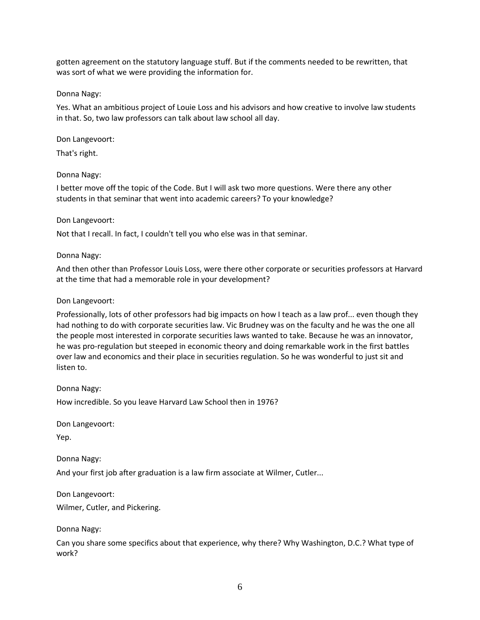gotten agreement on the statutory language stuff. But if the comments needed to be rewritten, that was sort of what we were providing the information for.

#### Donna Nagy:

Yes. What an ambitious project of Louie Loss and his advisors and how creative to involve law students in that. So, two law professors can talk about law school all day.

#### Don Langevoort:

That's right.

### Donna Nagy:

I better move off the topic of the Code. But I will ask two more questions. Were there any other students in that seminar that went into academic careers? To your knowledge?

#### Don Langevoort:

Not that I recall. In fact, I couldn't tell you who else was in that seminar.

### Donna Nagy:

And then other than Professor Louis Loss, were there other corporate or securities professors at Harvard at the time that had a memorable role in your development?

#### Don Langevoort:

Professionally, lots of other professors had big impacts on how I teach as a law prof... even though they had nothing to do with corporate securities law. Vic Brudney was on the faculty and he was the one all the people most interested in corporate securities laws wanted to take. Because he was an innovator, he was pro-regulation but steeped in economic theory and doing remarkable work in the first battles over law and economics and their place in securities regulation. So he was wonderful to just sit and listen to.

Donna Nagy: How incredible. So you leave Harvard Law School then in 1976?

Don Langevoort:

Yep.

Donna Nagy:

And your first job after graduation is a law firm associate at Wilmer, Cutler...

Don Langevoort:

Wilmer, Cutler, and Pickering.

### Donna Nagy:

Can you share some specifics about that experience, why there? Why Washington, D.C.? What type of work?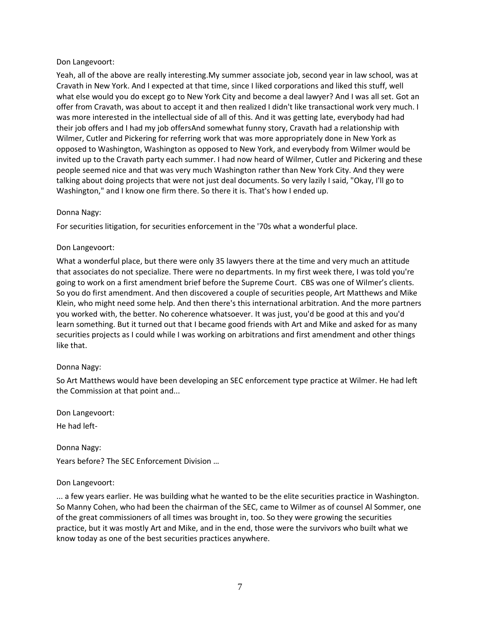Yeah, all of the above are really interesting.My summer associate job, second year in law school, was at Cravath in New York. And I expected at that time, since I liked corporations and liked this stuff, well what else would you do except go to New York City and become a deal lawyer? And I was all set. Got an offer from Cravath, was about to accept it and then realized I didn't like transactional work very much. I was more interested in the intellectual side of all of this. And it was getting late, everybody had had their job offers and I had my job offersAnd somewhat funny story, Cravath had a relationship with Wilmer, Cutler and Pickering for referring work that was more appropriately done in New York as opposed to Washington, Washington as opposed to New York, and everybody from Wilmer would be invited up to the Cravath party each summer. I had now heard of Wilmer, Cutler and Pickering and these people seemed nice and that was very much Washington rather than New York City. And they were talking about doing projects that were not just deal documents. So very lazily I said, "Okay, I'll go to Washington," and I know one firm there. So there it is. That's how I ended up.

### Donna Nagy:

For securities litigation, for securities enforcement in the '70s what a wonderful place.

### Don Langevoort:

What a wonderful place, but there were only 35 lawyers there at the time and very much an attitude that associates do not specialize. There were no departments. In my first week there, I was told you're going to work on a first amendment brief before the Supreme Court. CBS was one of Wilmer's clients. So you do first amendment. And then discovered a couple of securities people, Art Matthews and Mike Klein, who might need some help. And then there's this international arbitration. And the more partners you worked with, the better. No coherence whatsoever. It was just, you'd be good at this and you'd learn something. But it turned out that I became good friends with Art and Mike and asked for as many securities projects as I could while I was working on arbitrations and first amendment and other things like that.

### Donna Nagy:

So Art Matthews would have been developing an SEC enforcement type practice at Wilmer. He had left the Commission at that point and...

Don Langevoort:

He had left-

Donna Nagy:

Years before? The SEC Enforcement Division …

#### Don Langevoort:

... a few years earlier. He was building what he wanted to be the elite securities practice in Washington. So Manny Cohen, who had been the chairman of the SEC, came to Wilmer as of counsel Al Sommer, one of the great commissioners of all times was brought in, too. So they were growing the securities practice, but it was mostly Art and Mike, and in the end, those were the survivors who built what we know today as one of the best securities practices anywhere.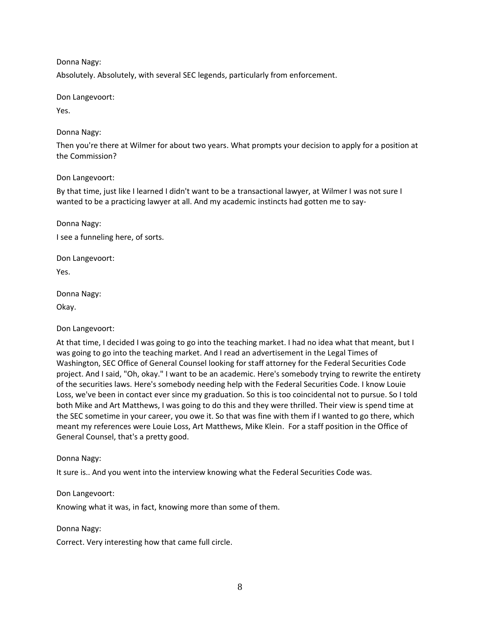## Donna Nagy:

Absolutely. Absolutely, with several SEC legends, particularly from enforcement.

Don Langevoort:

Yes.

Donna Nagy:

Then you're there at Wilmer for about two years. What prompts your decision to apply for a position at the Commission?

## Don Langevoort:

By that time, just like I learned I didn't want to be a transactional lawyer, at Wilmer I was not sure I wanted to be a practicing lawyer at all. And my academic instincts had gotten me to say-

Donna Nagy: I see a funneling here, of sorts.

Don Langevoort:

Yes.

Donna Nagy:

Okay.

Don Langevoort:

At that time, I decided I was going to go into the teaching market. I had no idea what that meant, but I was going to go into the teaching market. And I read an advertisement in the Legal Times of Washington, SEC Office of General Counsel looking for staff attorney for the Federal Securities Code project. And I said, "Oh, okay." I want to be an academic. Here's somebody trying to rewrite the entirety of the securities laws. Here's somebody needing help with the Federal Securities Code. I know Louie Loss, we've been in contact ever since my graduation. So this is too coincidental not to pursue. So I told both Mike and Art Matthews, I was going to do this and they were thrilled. Their view is spend time at the SEC sometime in your career, you owe it. So that was fine with them if I wanted to go there, which meant my references were Louie Loss, Art Matthews, Mike Klein. For a staff position in the Office of General Counsel, that's a pretty good.

### Donna Nagy:

It sure is.. And you went into the interview knowing what the Federal Securities Code was.

Don Langevoort:

Knowing what it was, in fact, knowing more than some of them.

### Donna Nagy:

Correct. Very interesting how that came full circle.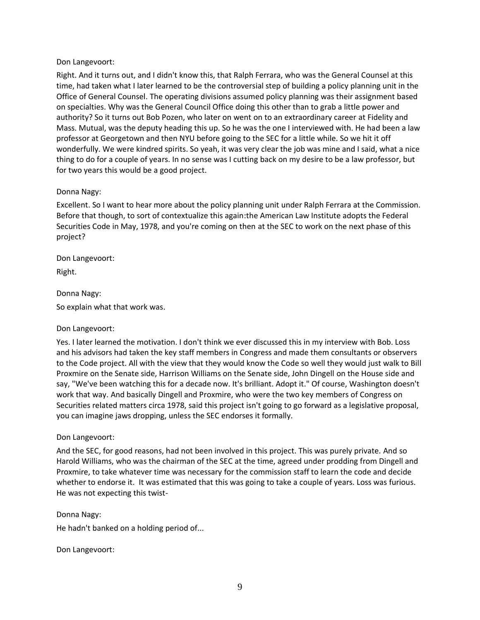Right. And it turns out, and I didn't know this, that Ralph Ferrara, who was the General Counsel at this time, had taken what I later learned to be the controversial step of building a policy planning unit in the Office of General Counsel. The operating divisions assumed policy planning was their assignment based on specialties. Why was the General Council Office doing this other than to grab a little power and authority? So it turns out Bob Pozen, who later on went on to an extraordinary career at Fidelity and Mass. Mutual, was the deputy heading this up. So he was the one I interviewed with. He had been a law professor at Georgetown and then NYU before going to the SEC for a little while. So we hit it off wonderfully. We were kindred spirits. So yeah, it was very clear the job was mine and I said, what a nice thing to do for a couple of years. In no sense was I cutting back on my desire to be a law professor, but for two years this would be a good project.

### Donna Nagy:

Excellent. So I want to hear more about the policy planning unit under Ralph Ferrara at the Commission. Before that though, to sort of contextualize this again:the American Law Institute adopts the Federal Securities Code in May, 1978, and you're coming on then at the SEC to work on the next phase of this project?

Don Langevoort:

Right.

Donna Nagy:

So explain what that work was.

Don Langevoort:

Yes. I later learned the motivation. I don't think we ever discussed this in my interview with Bob. Loss and his advisors had taken the key staff members in Congress and made them consultants or observers to the Code project. All with the view that they would know the Code so well they would just walk to Bill Proxmire on the Senate side, Harrison Williams on the Senate side, John Dingell on the House side and say, "We've been watching this for a decade now. It's brilliant. Adopt it." Of course, Washington doesn't work that way. And basically Dingell and Proxmire, who were the two key members of Congress on Securities related matters circa 1978, said this project isn't going to go forward as a legislative proposal, you can imagine jaws dropping, unless the SEC endorses it formally.

#### Don Langevoort:

And the SEC, for good reasons, had not been involved in this project. This was purely private. And so Harold Williams, who was the chairman of the SEC at the time, agreed under prodding from Dingell and Proxmire, to take whatever time was necessary for the commission staff to learn the code and decide whether to endorse it. It was estimated that this was going to take a couple of years. Loss was furious. He was not expecting this twist-

Donna Nagy:

He hadn't banked on a holding period of...

Don Langevoort: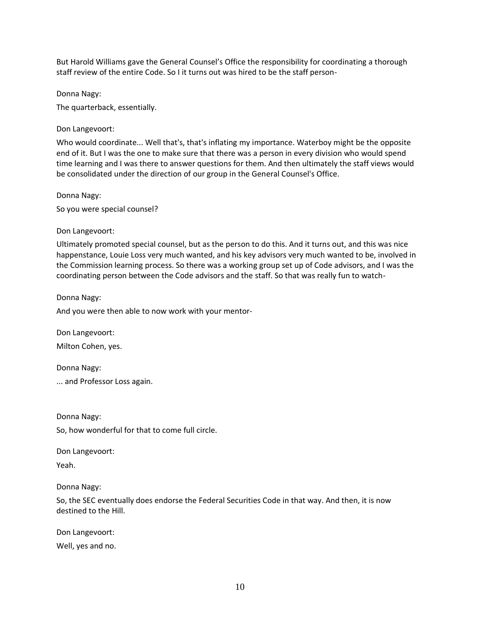But Harold Williams gave the General Counsel's Office the responsibility for coordinating a thorough staff review of the entire Code. So I it turns out was hired to be the staff person-

Donna Nagy:

The quarterback, essentially.

Don Langevoort:

Who would coordinate... Well that's, that's inflating my importance. Waterboy might be the opposite end of it. But I was the one to make sure that there was a person in every division who would spend time learning and I was there to answer questions for them. And then ultimately the staff views would be consolidated under the direction of our group in the General Counsel's Office.

Donna Nagy: So you were special counsel?

Don Langevoort:

Ultimately promoted special counsel, but as the person to do this. And it turns out, and this was nice happenstance, Louie Loss very much wanted, and his key advisors very much wanted to be, involved in the Commission learning process. So there was a working group set up of Code advisors, and I was the coordinating person between the Code advisors and the staff. So that was really fun to watch-

Donna Nagy:

And you were then able to now work with your mentor-

Don Langevoort: Milton Cohen, yes.

Donna Nagy: ... and Professor Loss again.

Donna Nagy: So, how wonderful for that to come full circle.

Don Langevoort: Yeah.

Donna Nagy:

So, the SEC eventually does endorse the Federal Securities Code in that way. And then, it is now destined to the Hill.

Don Langevoort:

Well, yes and no.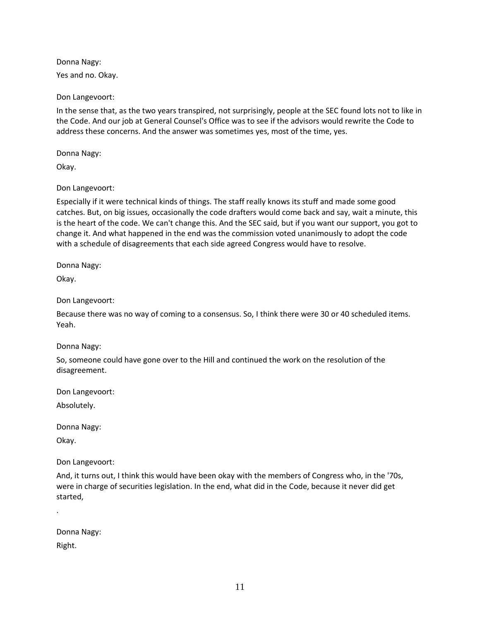Donna Nagy: Yes and no. Okay.

Don Langevoort:

In the sense that, as the two years transpired, not surprisingly, people at the SEC found lots not to like in the Code. And our job at General Counsel's Office was to see if the advisors would rewrite the Code to address these concerns. And the answer was sometimes yes, most of the time, yes.

Donna Nagy:

Okay.

Don Langevoort:

Especially if it were technical kinds of things. The staff really knows its stuff and made some good catches. But, on big issues, occasionally the code drafters would come back and say, wait a minute, this is the heart of the code. We can't change this. And the SEC said, but if you want our support, you got to change it. And what happened in the end was the commission voted unanimously to adopt the code with a schedule of disagreements that each side agreed Congress would have to resolve.

Donna Nagy:

Okay.

Don Langevoort:

Because there was no way of coming to a consensus. So, I think there were 30 or 40 scheduled items. Yeah.

Donna Nagy:

So, someone could have gone over to the Hill and continued the work on the resolution of the disagreement.

Don Langevoort:

Absolutely.

Donna Nagy:

Okay.

.

Don Langevoort:

And, it turns out, I think this would have been okay with the members of Congress who, in the '70s, were in charge of securities legislation. In the end, what did in the Code, because it never did get started,

Donna Nagy: Right.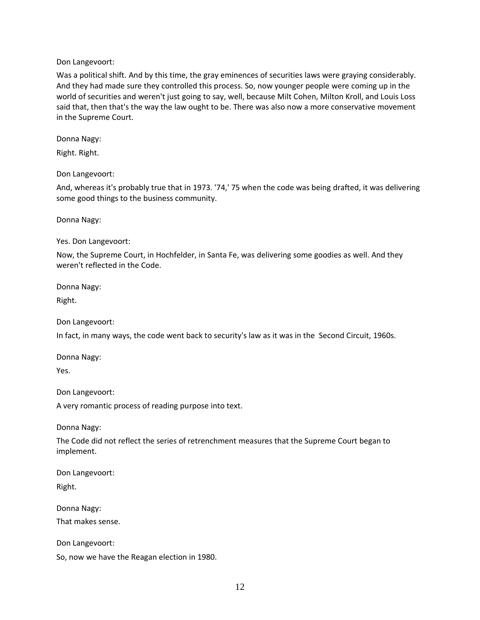Was a political shift. And by this time, the gray eminences of securities laws were graying considerably. And they had made sure they controlled this process. So, now younger people were coming up in the world of securities and weren't just going to say, well, because Milt Cohen, Milton Kroll, and Louis Loss said that, then that's the way the law ought to be. There was also now a more conservative movement in the Supreme Court.

Donna Nagy:

Right. Right.

Don Langevoort:

And, whereas it's probably true that in 1973. '74,' 75 when the code was being drafted, it was delivering some good things to the business community.

Donna Nagy:

Yes. Don Langevoort:

Now, the Supreme Court, in Hochfelder, in Santa Fe, was delivering some goodies as well. And they weren't reflected in the Code.

Donna Nagy:

Right.

Don Langevoort:

In fact, in many ways, the code went back to security's law as it was in the Second Circuit, 1960s.

Donna Nagy:

Yes.

Don Langevoort:

A very romantic process of reading purpose into text.

Donna Nagy:

The Code did not reflect the series of retrenchment measures that the Supreme Court began to implement.

Don Langevoort:

Right.

Donna Nagy:

That makes sense.

Don Langevoort:

So, now we have the Reagan election in 1980.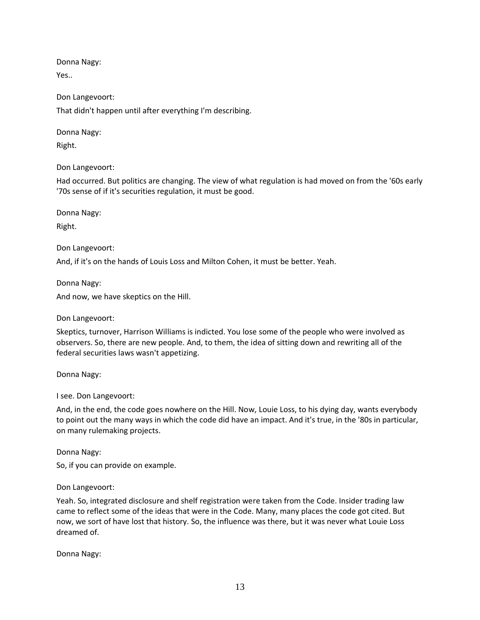Donna Nagy:

Yes..

Don Langevoort:

That didn't happen until after everything I'm describing.

Donna Nagy:

Right.

Don Langevoort:

Had occurred. But politics are changing. The view of what regulation is had moved on from the '60s early '70s sense of if it's securities regulation, it must be good.

Donna Nagy:

Right.

Don Langevoort:

And, if it's on the hands of Louis Loss and Milton Cohen, it must be better. Yeah.

Donna Nagy:

And now, we have skeptics on the Hill.

Don Langevoort:

Skeptics, turnover, Harrison Williams is indicted. You lose some of the people who were involved as observers. So, there are new people. And, to them, the idea of sitting down and rewriting all of the federal securities laws wasn't appetizing.

Donna Nagy:

I see. Don Langevoort:

And, in the end, the code goes nowhere on the Hill. Now, Louie Loss, to his dying day, wants everybody to point out the many ways in which the code did have an impact. And it's true, in the '80s in particular, on many rulemaking projects.

Donna Nagy:

So, if you can provide on example.

Don Langevoort:

Yeah. So, integrated disclosure and shelf registration were taken from the Code. Insider trading law came to reflect some of the ideas that were in the Code. Many, many places the code got cited. But now, we sort of have lost that history. So, the influence was there, but it was never what Louie Loss dreamed of.

Donna Nagy: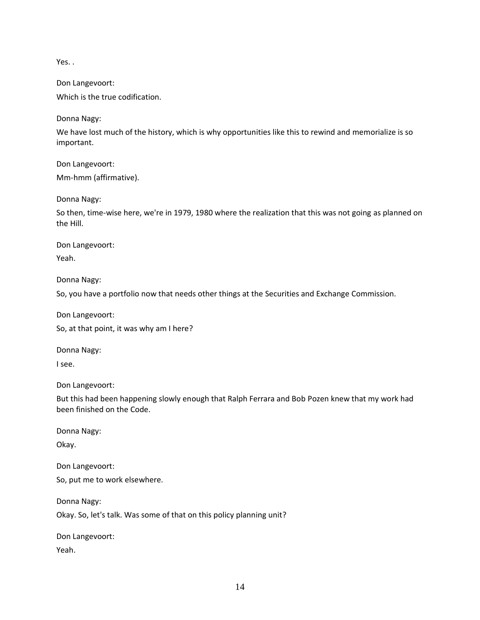Yes. .

Don Langevoort:

Which is the true codification.

Donna Nagy:

We have lost much of the history, which is why opportunities like this to rewind and memorialize is so important.

Don Langevoort: Mm-hmm (affirmative).

Donna Nagy:

So then, time-wise here, we're in 1979, 1980 where the realization that this was not going as planned on the Hill.

Don Langevoort:

Yeah.

Donna Nagy:

So, you have a portfolio now that needs other things at the Securities and Exchange Commission.

Don Langevoort:

So, at that point, it was why am I here?

Donna Nagy:

I see.

Don Langevoort:

But this had been happening slowly enough that Ralph Ferrara and Bob Pozen knew that my work had been finished on the Code.

Donna Nagy:

Okay.

Don Langevoort: So, put me to work elsewhere.

Donna Nagy:

Okay. So, let's talk. Was some of that on this policy planning unit?

Don Langevoort:

Yeah.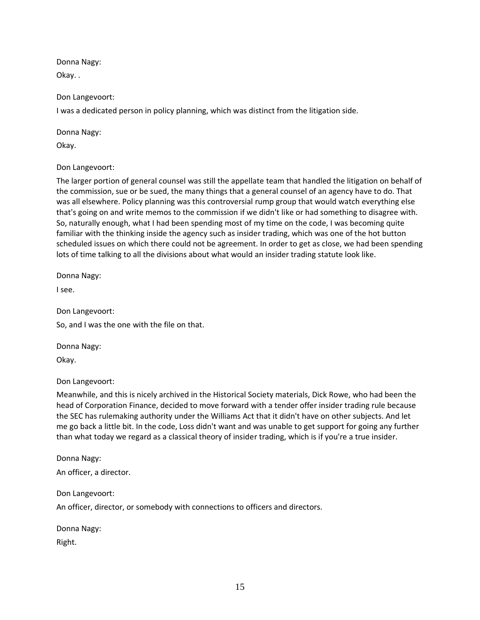Donna Nagy: Okay. .

Don Langevoort:

I was a dedicated person in policy planning, which was distinct from the litigation side.

Donna Nagy:

Okay.

Don Langevoort:

The larger portion of general counsel was still the appellate team that handled the litigation on behalf of the commission, sue or be sued, the many things that a general counsel of an agency have to do. That was all elsewhere. Policy planning was this controversial rump group that would watch everything else that's going on and write memos to the commission if we didn't like or had something to disagree with. So, naturally enough, what I had been spending most of my time on the code, I was becoming quite familiar with the thinking inside the agency such as insider trading, which was one of the hot button scheduled issues on which there could not be agreement. In order to get as close, we had been spending lots of time talking to all the divisions about what would an insider trading statute look like.

Donna Nagy:

I see.

Don Langevoort:

So, and I was the one with the file on that.

Donna Nagy: Okay.

Don Langevoort:

Meanwhile, and this is nicely archived in the Historical Society materials, Dick Rowe, who had been the head of Corporation Finance, decided to move forward with a tender offer insider trading rule because the SEC has rulemaking authority under the Williams Act that it didn't have on other subjects. And let me go back a little bit. In the code, Loss didn't want and was unable to get support for going any further than what today we regard as a classical theory of insider trading, which is if you're a true insider.

Donna Nagy: An officer, a director.

Don Langevoort:

An officer, director, or somebody with connections to officers and directors.

Donna Nagy: Right.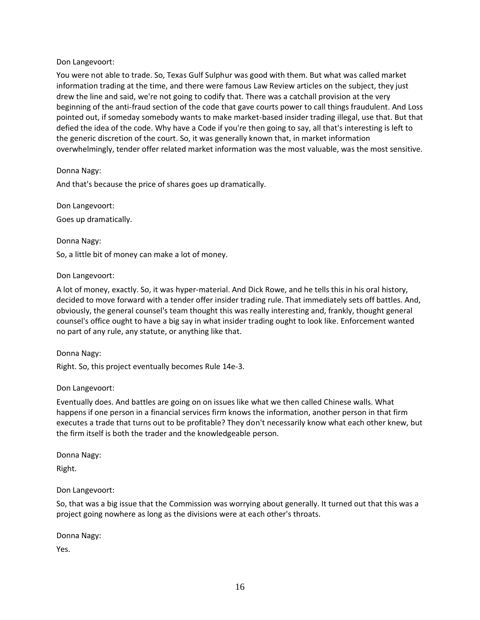You were not able to trade. So, Texas Gulf Sulphur was good with them. But what was called market information trading at the time, and there were famous Law Review articles on the subject, they just drew the line and said, we're not going to codify that. There was a catchall provision at the very beginning of the anti-fraud section of the code that gave courts power to call things fraudulent. And Loss pointed out, if someday somebody wants to make market-based insider trading illegal, use that. But that defied the idea of the code. Why have a Code if you're then going to say, all that's interesting is left to the generic discretion of the court. So, it was generally known that, in market information overwhelmingly, tender offer related market information was the most valuable, was the most sensitive.

Donna Nagy:

And that's because the price of shares goes up dramatically.

Don Langevoort: Goes up dramatically.

Donna Nagy: So, a little bit of money can make a lot of money.

Don Langevoort:

A lot of money, exactly. So, it was hyper-material. And Dick Rowe, and he tells this in his oral history, decided to move forward with a tender offer insider trading rule. That immediately sets off battles. And, obviously, the general counsel's team thought this was really interesting and, frankly, thought general counsel's office ought to have a big say in what insider trading ought to look like. Enforcement wanted no part of any rule, any statute, or anything like that.

Donna Nagy:

Right. So, this project eventually becomes Rule 14e-3.

Don Langevoort:

Eventually does. And battles are going on on issues like what we then called Chinese walls. What happens if one person in a financial services firm knows the information, another person in that firm executes a trade that turns out to be profitable? They don't necessarily know what each other knew, but the firm itself is both the trader and the knowledgeable person.

Donna Nagy:

Right.

Don Langevoort:

So, that was a big issue that the Commission was worrying about generally. It turned out that this was a project going nowhere as long as the divisions were at each other's throats.

Donna Nagy:

Yes.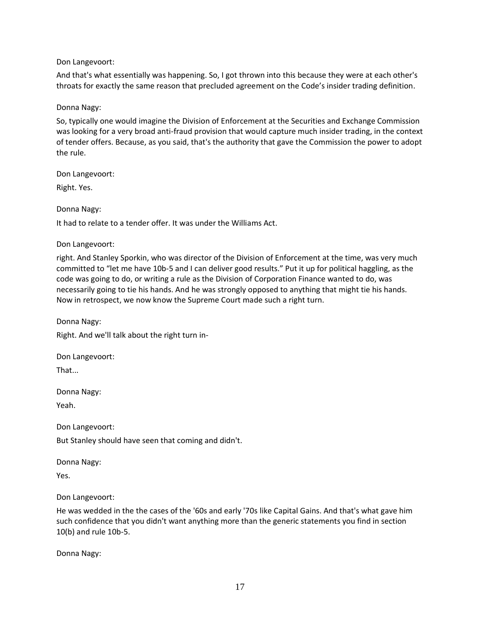And that's what essentially was happening. So, I got thrown into this because they were at each other's throats for exactly the same reason that precluded agreement on the Code's insider trading definition.

### Donna Nagy:

So, typically one would imagine the Division of Enforcement at the Securities and Exchange Commission was looking for a very broad anti-fraud provision that would capture much insider trading, in the context of tender offers. Because, as you said, that's the authority that gave the Commission the power to adopt the rule.

Don Langevoort:

Right. Yes.

Donna Nagy:

It had to relate to a tender offer. It was under the Williams Act.

Don Langevoort:

right. And Stanley Sporkin, who was director of the Division of Enforcement at the time, was very much committed to "let me have 10b-5 and I can deliver good results." Put it up for political haggling, as the code was going to do, or writing a rule as the Division of Corporation Finance wanted to do, was necessarily going to tie his hands. And he was strongly opposed to anything that might tie his hands. Now in retrospect, we now know the Supreme Court made such a right turn.

Donna Nagy: Right. And we'll talk about the right turn in-

Don Langevoort:

That...

Donna Nagy:

Yeah.

Don Langevoort:

But Stanley should have seen that coming and didn't.

Donna Nagy:

Yes.

Don Langevoort:

He was wedded in the the cases of the '60s and early '70s like Capital Gains. And that's what gave him such confidence that you didn't want anything more than the generic statements you find in section 10(b) and rule 10b-5.

Donna Nagy: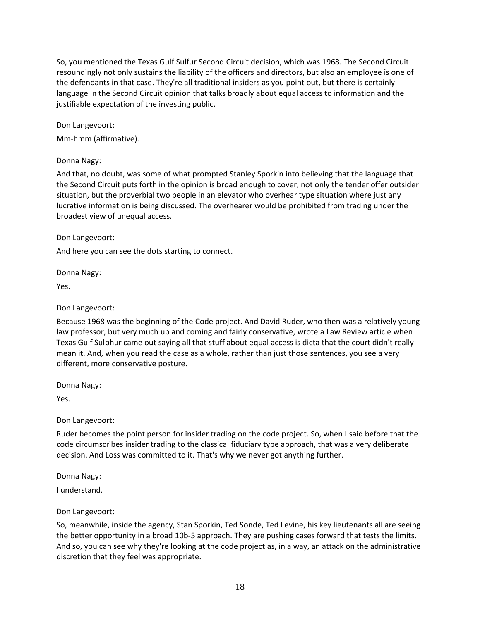So, you mentioned the Texas Gulf Sulfur Second Circuit decision, which was 1968. The Second Circuit resoundingly not only sustains the liability of the officers and directors, but also an employee is one of the defendants in that case. They're all traditional insiders as you point out, but there is certainly language in the Second Circuit opinion that talks broadly about equal access to information and the justifiable expectation of the investing public.

Don Langevoort:

Mm-hmm (affirmative).

## Donna Nagy:

And that, no doubt, was some of what prompted Stanley Sporkin into believing that the language that the Second Circuit puts forth in the opinion is broad enough to cover, not only the tender offer outsider situation, but the proverbial two people in an elevator who overhear type situation where just any lucrative information is being discussed. The overhearer would be prohibited from trading under the broadest view of unequal access.

Don Langevoort:

And here you can see the dots starting to connect.

Donna Nagy:

Yes.

Don Langevoort:

Because 1968 was the beginning of the Code project. And David Ruder, who then was a relatively young law professor, but very much up and coming and fairly conservative, wrote a Law Review article when Texas Gulf Sulphur came out saying all that stuff about equal access is dicta that the court didn't really mean it. And, when you read the case as a whole, rather than just those sentences, you see a very different, more conservative posture.

Donna Nagy:

Yes.

Don Langevoort:

Ruder becomes the point person for insider trading on the code project. So, when I said before that the code circumscribes insider trading to the classical fiduciary type approach, that was a very deliberate decision. And Loss was committed to it. That's why we never got anything further.

Donna Nagy:

I understand.

Don Langevoort:

So, meanwhile, inside the agency, Stan Sporkin, Ted Sonde, Ted Levine, his key lieutenants all are seeing the better opportunity in a broad 10b-5 approach. They are pushing cases forward that tests the limits. And so, you can see why they're looking at the code project as, in a way, an attack on the administrative discretion that they feel was appropriate.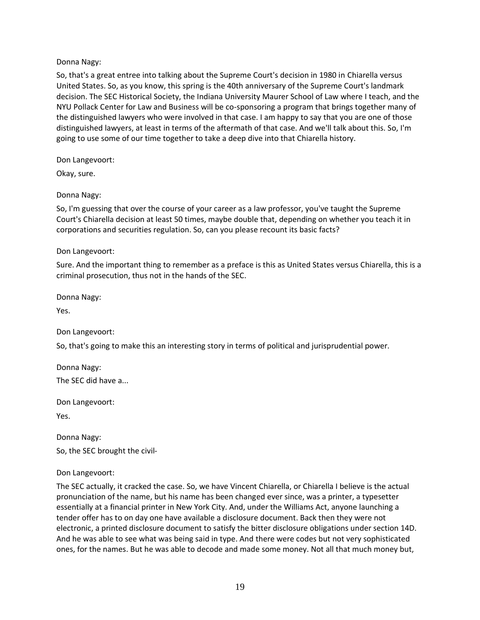### Donna Nagy:

So, that's a great entree into talking about the Supreme Court's decision in 1980 in Chiarella versus United States. So, as you know, this spring is the 40th anniversary of the Supreme Court's landmark decision. The SEC Historical Society, the Indiana University Maurer School of Law where I teach, and the NYU Pollack Center for Law and Business will be co-sponsoring a program that brings together many of the distinguished lawyers who were involved in that case. I am happy to say that you are one of those distinguished lawyers, at least in terms of the aftermath of that case. And we'll talk about this. So, I'm going to use some of our time together to take a deep dive into that Chiarella history.

Don Langevoort:

Okay, sure.

## Donna Nagy:

So, I'm guessing that over the course of your career as a law professor, you've taught the Supreme Court's Chiarella decision at least 50 times, maybe double that, depending on whether you teach it in corporations and securities regulation. So, can you please recount its basic facts?

## Don Langevoort:

Sure. And the important thing to remember as a preface is this as United States versus Chiarella, this is a criminal prosecution, thus not in the hands of the SEC.

Donna Nagy:

Yes.

Don Langevoort:

So, that's going to make this an interesting story in terms of political and jurisprudential power.

Donna Nagy: The SEC did have a...

Don Langevoort:

Yes.

Donna Nagy: So, the SEC brought the civil-

### Don Langevoort:

The SEC actually, it cracked the case. So, we have Vincent Chiarella, or Chiarella I believe is the actual pronunciation of the name, but his name has been changed ever since, was a printer, a typesetter essentially at a financial printer in New York City. And, under the Williams Act, anyone launching a tender offer has to on day one have available a disclosure document. Back then they were not electronic, a printed disclosure document to satisfy the bitter disclosure obligations under section 14D. And he was able to see what was being said in type. And there were codes but not very sophisticated ones, for the names. But he was able to decode and made some money. Not all that much money but,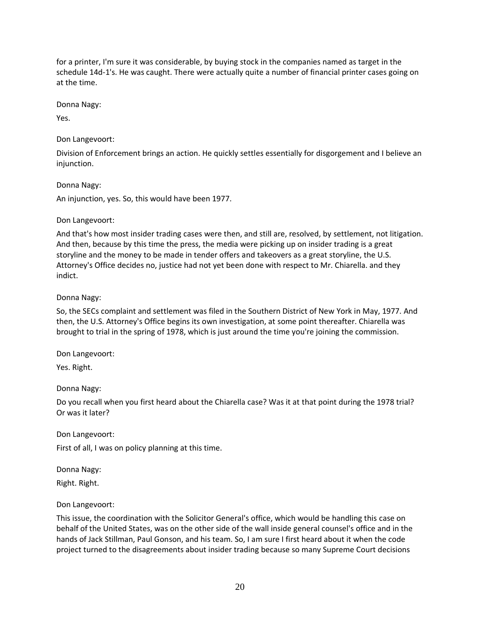for a printer, I'm sure it was considerable, by buying stock in the companies named as target in the schedule 14d-1's. He was caught. There were actually quite a number of financial printer cases going on at the time.

Donna Nagy:

Yes.

## Don Langevoort:

Division of Enforcement brings an action. He quickly settles essentially for disgorgement and I believe an injunction.

Donna Nagy:

An injunction, yes. So, this would have been 1977.

## Don Langevoort:

And that's how most insider trading cases were then, and still are, resolved, by settlement, not litigation. And then, because by this time the press, the media were picking up on insider trading is a great storyline and the money to be made in tender offers and takeovers as a great storyline, the U.S. Attorney's Office decides no, justice had not yet been done with respect to Mr. Chiarella. and they indict.

## Donna Nagy:

So, the SECs complaint and settlement was filed in the Southern District of New York in May, 1977. And then, the U.S. Attorney's Office begins its own investigation, at some point thereafter. Chiarella was brought to trial in the spring of 1978, which is just around the time you're joining the commission.

Don Langevoort:

Yes. Right.

Donna Nagy:

Do you recall when you first heard about the Chiarella case? Was it at that point during the 1978 trial? Or was it later?

Don Langevoort:

First of all, I was on policy planning at this time.

Donna Nagy:

Right. Right.

### Don Langevoort:

This issue, the coordination with the Solicitor General's office, which would be handling this case on behalf of the United States, was on the other side of the wall inside general counsel's office and in the hands of Jack Stillman, Paul Gonson, and his team. So, I am sure I first heard about it when the code project turned to the disagreements about insider trading because so many Supreme Court decisions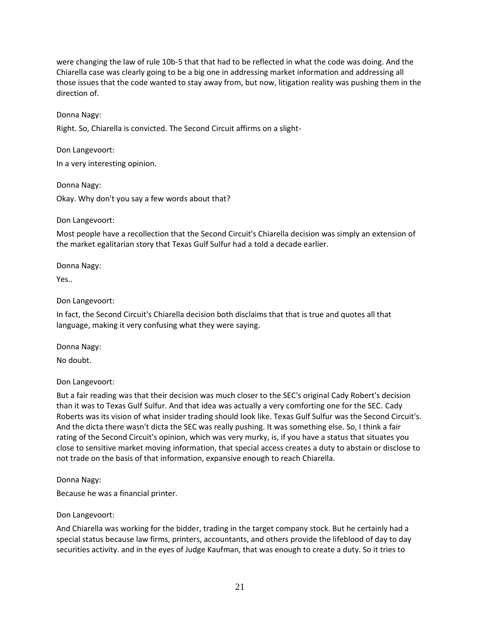were changing the law of rule 10b-5 that that had to be reflected in what the code was doing. And the Chiarella case was clearly going to be a big one in addressing market information and addressing all those issues that the code wanted to stay away from, but now, litigation reality was pushing them in the direction of.

## Donna Nagy:

Right. So, Chiarella is convicted. The Second Circuit affirms on a slight-

Don Langevoort:

In a very interesting opinion.

Donna Nagy: Okay. Why don't you say a few words about that?

## Don Langevoort:

Most people have a recollection that the Second Circuit's Chiarella decision was simply an extension of the market egalitarian story that Texas Gulf Sulfur had a told a decade earlier.

Donna Nagy:

Yes..

## Don Langevoort:

In fact, the Second Circuit's Chiarella decision both disclaims that that is true and quotes all that language, making it very confusing what they were saying.

Donna Nagy:

No doubt.

# Don Langevoort:

But a fair reading was that their decision was much closer to the SEC's original Cady Robert's decision than it was to Texas Gulf Sulfur. And that idea was actually a very comforting one for the SEC. Cady Roberts was its vision of what insider trading should look like. Texas Gulf Sulfur was the Second Circuit's. And the dicta there wasn't dicta the SEC was really pushing. It was something else. So, I think a fair rating of the Second Circuit's opinion, which was very murky, is, if you have a status that situates you close to sensitive market moving information, that special access creates a duty to abstain or disclose to not trade on the basis of that information, expansive enough to reach Chiarella.

# Donna Nagy:

Because he was a financial printer.

### Don Langevoort:

And Chiarella was working for the bidder, trading in the target company stock. But he certainly had a special status because law firms, printers, accountants, and others provide the lifeblood of day to day securities activity. and in the eyes of Judge Kaufman, that was enough to create a duty. So it tries to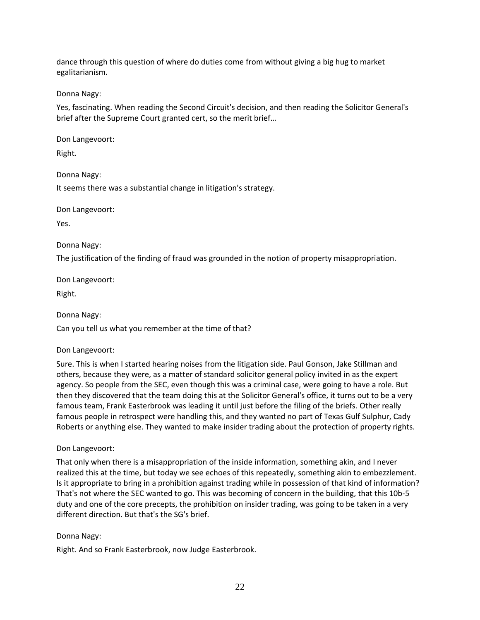dance through this question of where do duties come from without giving a big hug to market egalitarianism.

Donna Nagy:

Yes, fascinating. When reading the Second Circuit's decision, and then reading the Solicitor General's brief after the Supreme Court granted cert, so the merit brief…

Don Langevoort:

Right.

Donna Nagy:

It seems there was a substantial change in litigation's strategy.

Don Langevoort:

Yes.

Donna Nagy:

The justification of the finding of fraud was grounded in the notion of property misappropriation.

Don Langevoort:

Right.

Donna Nagy:

Can you tell us what you remember at the time of that?

Don Langevoort:

Sure. This is when I started hearing noises from the litigation side. Paul Gonson, Jake Stillman and others, because they were, as a matter of standard solicitor general policy invited in as the expert agency. So people from the SEC, even though this was a criminal case, were going to have a role. But then they discovered that the team doing this at the Solicitor General's office, it turns out to be a very famous team, Frank Easterbrook was leading it until just before the filing of the briefs. Other really famous people in retrospect were handling this, and they wanted no part of Texas Gulf Sulphur, Cady Roberts or anything else. They wanted to make insider trading about the protection of property rights.

# Don Langevoort:

That only when there is a misappropriation of the inside information, something akin, and I never realized this at the time, but today we see echoes of this repeatedly, something akin to embezzlement. Is it appropriate to bring in a prohibition against trading while in possession of that kind of information? That's not where the SEC wanted to go. This was becoming of concern in the building, that this 10b-5 duty and one of the core precepts, the prohibition on insider trading, was going to be taken in a very different direction. But that's the SG's brief.

### Donna Nagy:

Right. And so Frank Easterbrook, now Judge Easterbrook.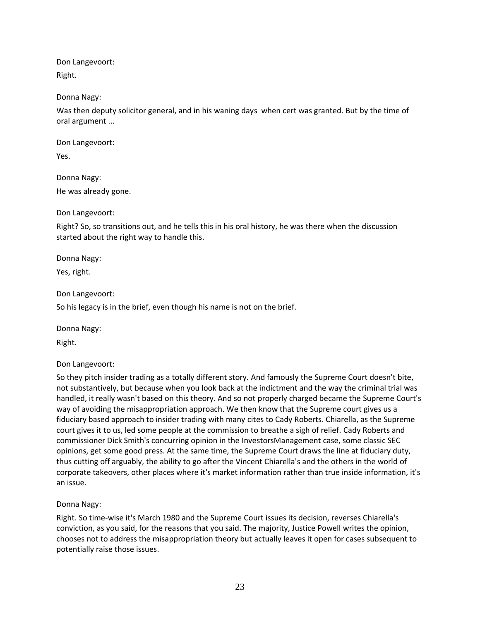Right.

Donna Nagy:

Was then deputy solicitor general, and in his waning days when cert was granted. But by the time of oral argument ...

Don Langevoort:

Yes.

Donna Nagy: He was already gone.

Don Langevoort:

Right? So, so transitions out, and he tells this in his oral history, he was there when the discussion started about the right way to handle this.

Donna Nagy:

Yes, right.

Don Langevoort:

So his legacy is in the brief, even though his name is not on the brief.

Donna Nagy:

Right.

Don Langevoort:

So they pitch insider trading as a totally different story. And famously the Supreme Court doesn't bite, not substantively, but because when you look back at the indictment and the way the criminal trial was handled, it really wasn't based on this theory. And so not properly charged became the Supreme Court's way of avoiding the misappropriation approach. We then know that the Supreme court gives us a fiduciary based approach to insider trading with many cites to Cady Roberts. Chiarella, as the Supreme court gives it to us, led some people at the commission to breathe a sigh of relief. Cady Roberts and commissioner Dick Smith's concurring opinion in the InvestorsManagement case, some classic SEC opinions, get some good press. At the same time, the Supreme Court draws the line at fiduciary duty, thus cutting off arguably, the ability to go after the Vincent Chiarella's and the others in the world of corporate takeovers, other places where it's market information rather than true inside information, it's an issue.

Donna Nagy:

Right. So time-wise it's March 1980 and the Supreme Court issues its decision, reverses Chiarella's conviction, as you said, for the reasons that you said. The majority, Justice Powell writes the opinion, chooses not to address the misappropriation theory but actually leaves it open for cases subsequent to potentially raise those issues.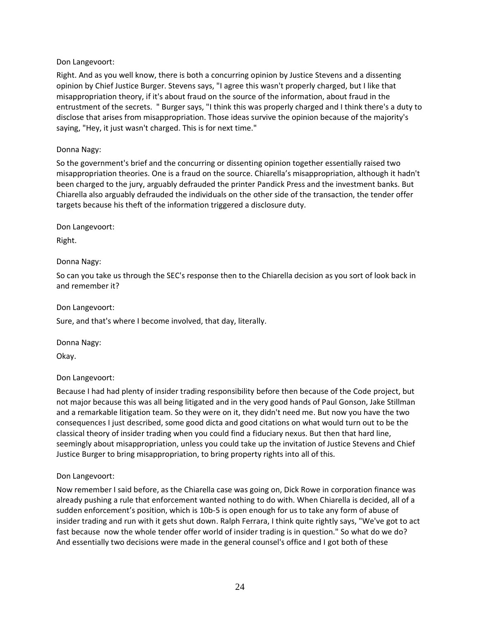Right. And as you well know, there is both a concurring opinion by Justice Stevens and a dissenting opinion by Chief Justice Burger. Stevens says, "I agree this wasn't properly charged, but I like that misappropriation theory, if it's about fraud on the source of the information, about fraud in the entrustment of the secrets. " Burger says, "I think this was properly charged and I think there's a duty to disclose that arises from misappropriation. Those ideas survive the opinion because of the majority's saying, "Hey, it just wasn't charged. This is for next time."

## Donna Nagy:

So the government's brief and the concurring or dissenting opinion together essentially raised two misappropriation theories. One is a fraud on the source. Chiarella's misappropriation, although it hadn't been charged to the jury, arguably defrauded the printer Pandick Press and the investment banks. But Chiarella also arguably defrauded the individuals on the other side of the transaction, the tender offer targets because his theft of the information triggered a disclosure duty.

Don Langevoort:

Right.

Donna Nagy:

So can you take us through the SEC's response then to the Chiarella decision as you sort of look back in and remember it?

Don Langevoort:

Sure, and that's where I become involved, that day, literally.

Donna Nagy:

Okay.

Don Langevoort:

Because I had had plenty of insider trading responsibility before then because of the Code project, but not major because this was all being litigated and in the very good hands of Paul Gonson, Jake Stillman and a remarkable litigation team. So they were on it, they didn't need me. But now you have the two consequences I just described, some good dicta and good citations on what would turn out to be the classical theory of insider trading when you could find a fiduciary nexus. But then that hard line, seemingly about misappropriation, unless you could take up the invitation of Justice Stevens and Chief Justice Burger to bring misappropriation, to bring property rights into all of this.

Don Langevoort:

Now remember I said before, as the Chiarella case was going on, Dick Rowe in corporation finance was already pushing a rule that enforcement wanted nothing to do with. When Chiarella is decided, all of a sudden enforcement's position, which is 10b-5 is open enough for us to take any form of abuse of insider trading and run with it gets shut down. Ralph Ferrara, I think quite rightly says, "We've got to act fast because now the whole tender offer world of insider trading is in question." So what do we do? And essentially two decisions were made in the general counsel's office and I got both of these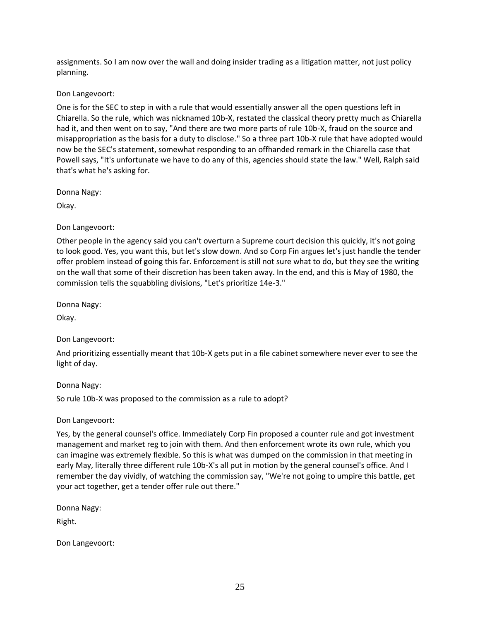assignments. So I am now over the wall and doing insider trading as a litigation matter, not just policy planning.

Don Langevoort:

One is for the SEC to step in with a rule that would essentially answer all the open questions left in Chiarella. So the rule, which was nicknamed 10b-X, restated the classical theory pretty much as Chiarella had it, and then went on to say, "And there are two more parts of rule 10b-X, fraud on the source and misappropriation as the basis for a duty to disclose." So a three part 10b-X rule that have adopted would now be the SEC's statement, somewhat responding to an offhanded remark in the Chiarella case that Powell says, "It's unfortunate we have to do any of this, agencies should state the law." Well, Ralph said that's what he's asking for.

Donna Nagy:

Okay.

Don Langevoort:

Other people in the agency said you can't overturn a Supreme court decision this quickly, it's not going to look good. Yes, you want this, but let's slow down. And so Corp Fin argues let's just handle the tender offer problem instead of going this far. Enforcement is still not sure what to do, but they see the writing on the wall that some of their discretion has been taken away. In the end, and this is May of 1980, the commission tells the squabbling divisions, "Let's prioritize 14e-3."

Donna Nagy:

Okay.

Don Langevoort:

And prioritizing essentially meant that 10b-X gets put in a file cabinet somewhere never ever to see the light of day.

Donna Nagy:

So rule 10b-X was proposed to the commission as a rule to adopt?

Don Langevoort:

Yes, by the general counsel's office. Immediately Corp Fin proposed a counter rule and got investment management and market reg to join with them. And then enforcement wrote its own rule, which you can imagine was extremely flexible. So this is what was dumped on the commission in that meeting in early May, literally three different rule 10b-X's all put in motion by the general counsel's office. And I remember the day vividly, of watching the commission say, "We're not going to umpire this battle, get your act together, get a tender offer rule out there."

Donna Nagy: Right.

Don Langevoort: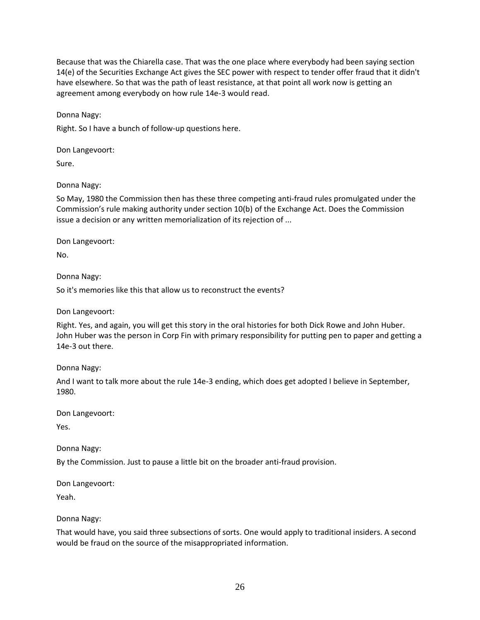Because that was the Chiarella case. That was the one place where everybody had been saying section 14(e) of the Securities Exchange Act gives the SEC power with respect to tender offer fraud that it didn't have elsewhere. So that was the path of least resistance, at that point all work now is getting an agreement among everybody on how rule 14e-3 would read.

Donna Nagy:

Right. So I have a bunch of follow-up questions here.

Don Langevoort:

Sure.

Donna Nagy:

So May, 1980 the Commission then has these three competing anti-fraud rules promulgated under the Commission's rule making authority under section 10(b) of the Exchange Act. Does the Commission issue a decision or any written memorialization of its rejection of ...

Don Langevoort:

No.

Donna Nagy:

So it's memories like this that allow us to reconstruct the events?

Don Langevoort:

Right. Yes, and again, you will get this story in the oral histories for both Dick Rowe and John Huber. John Huber was the person in Corp Fin with primary responsibility for putting pen to paper and getting a 14e-3 out there.

Donna Nagy:

And I want to talk more about the rule 14e-3 ending, which does get adopted I believe in September, 1980.

Don Langevoort:

Yes.

Donna Nagy:

By the Commission. Just to pause a little bit on the broader anti-fraud provision.

Don Langevoort:

Yeah.

### Donna Nagy:

That would have, you said three subsections of sorts. One would apply to traditional insiders. A second would be fraud on the source of the misappropriated information.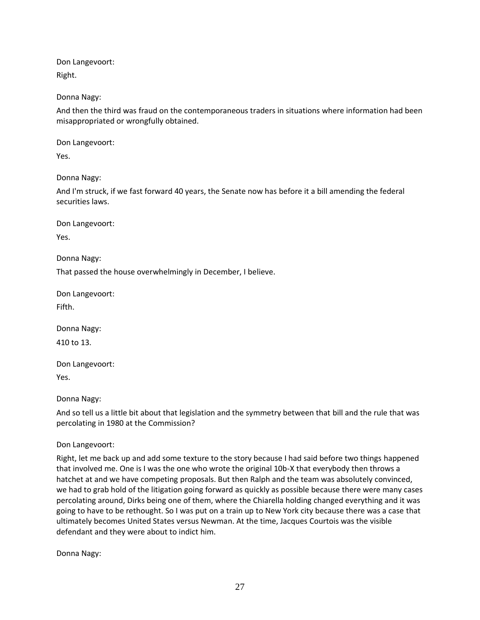Right.

Donna Nagy:

And then the third was fraud on the contemporaneous traders in situations where information had been misappropriated or wrongfully obtained.

Don Langevoort:

Yes.

Donna Nagy:

And I'm struck, if we fast forward 40 years, the Senate now has before it a bill amending the federal securities laws.

Don Langevoort:

Yes.

Donna Nagy:

That passed the house overwhelmingly in December, I believe.

Don Langevoort:

Fifth.

Donna Nagy:

410 to 13.

Don Langevoort:

Yes.

Donna Nagy:

And so tell us a little bit about that legislation and the symmetry between that bill and the rule that was percolating in 1980 at the Commission?

Don Langevoort:

Right, let me back up and add some texture to the story because I had said before two things happened that involved me. One is I was the one who wrote the original 10b-X that everybody then throws a hatchet at and we have competing proposals. But then Ralph and the team was absolutely convinced, we had to grab hold of the litigation going forward as quickly as possible because there were many cases percolating around, Dirks being one of them, where the Chiarella holding changed everything and it was going to have to be rethought. So I was put on a train up to New York city because there was a case that ultimately becomes United States versus Newman. At the time, Jacques Courtois was the visible defendant and they were about to indict him.

Donna Nagy: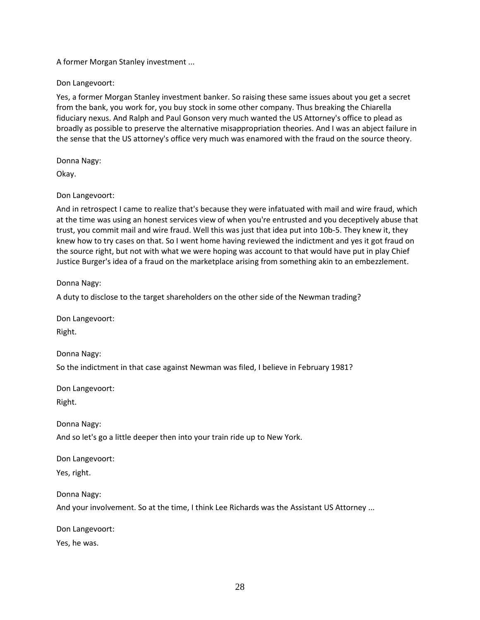A former Morgan Stanley investment ...

Don Langevoort:

Yes, a former Morgan Stanley investment banker. So raising these same issues about you get a secret from the bank, you work for, you buy stock in some other company. Thus breaking the Chiarella fiduciary nexus. And Ralph and Paul Gonson very much wanted the US Attorney's office to plead as broadly as possible to preserve the alternative misappropriation theories. And I was an abject failure in the sense that the US attorney's office very much was enamored with the fraud on the source theory.

Donna Nagy:

Okay.

## Don Langevoort:

And in retrospect I came to realize that's because they were infatuated with mail and wire fraud, which at the time was using an honest services view of when you're entrusted and you deceptively abuse that trust, you commit mail and wire fraud. Well this was just that idea put into 10b-5. They knew it, they knew how to try cases on that. So I went home having reviewed the indictment and yes it got fraud on the source right, but not with what we were hoping was account to that would have put in play Chief Justice Burger's idea of a fraud on the marketplace arising from something akin to an embezzlement.

Donna Nagy:

A duty to disclose to the target shareholders on the other side of the Newman trading?

Don Langevoort:

Right.

Donna Nagy:

So the indictment in that case against Newman was filed, I believe in February 1981?

Don Langevoort:

Right.

Donna Nagy:

And so let's go a little deeper then into your train ride up to New York.

Don Langevoort:

Yes, right.

Donna Nagy:

And your involvement. So at the time, I think Lee Richards was the Assistant US Attorney ...

Don Langevoort:

Yes, he was.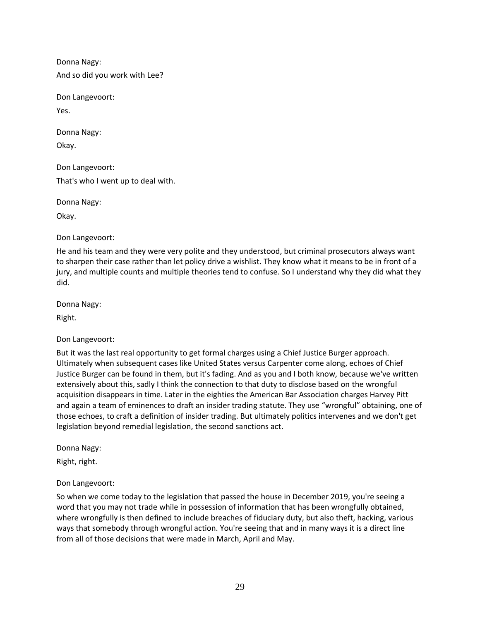Donna Nagy: And so did you work with Lee?

Don Langevoort:

Yes.

Donna Nagy:

Okay.

Don Langevoort:

That's who I went up to deal with.

Donna Nagy:

Okay.

Don Langevoort:

He and his team and they were very polite and they understood, but criminal prosecutors always want to sharpen their case rather than let policy drive a wishlist. They know what it means to be in front of a jury, and multiple counts and multiple theories tend to confuse. So I understand why they did what they did.

Donna Nagy:

Right.

Don Langevoort:

But it was the last real opportunity to get formal charges using a Chief Justice Burger approach. Ultimately when subsequent cases like United States versus Carpenter come along, echoes of Chief Justice Burger can be found in them, but it's fading. And as you and I both know, because we've written extensively about this, sadly I think the connection to that duty to disclose based on the wrongful acquisition disappears in time. Later in the eighties the American Bar Association charges Harvey Pitt and again a team of eminences to draft an insider trading statute. They use "wrongful" obtaining, one of those echoes, to craft a definition of insider trading. But ultimately politics intervenes and we don't get legislation beyond remedial legislation, the second sanctions act.

Donna Nagy:

Right, right.

Don Langevoort:

So when we come today to the legislation that passed the house in December 2019, you're seeing a word that you may not trade while in possession of information that has been wrongfully obtained, where wrongfully is then defined to include breaches of fiduciary duty, but also theft, hacking, various ways that somebody through wrongful action. You're seeing that and in many ways it is a direct line from all of those decisions that were made in March, April and May.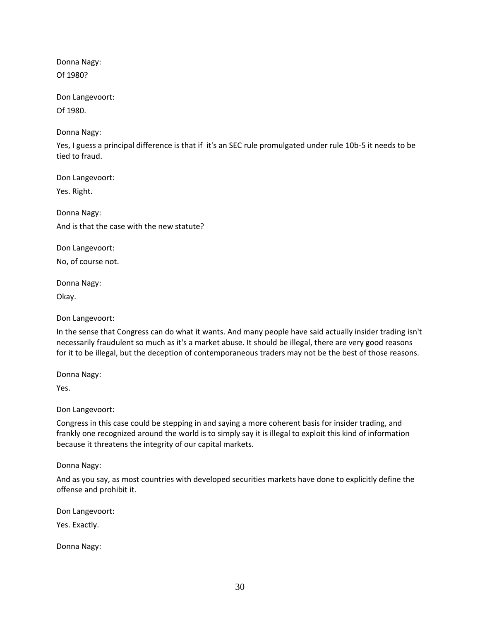Donna Nagy: Of 1980?

Don Langevoort:

Of 1980.

Donna Nagy:

Yes, I guess a principal difference is that if it's an SEC rule promulgated under rule 10b-5 it needs to be tied to fraud.

Don Langevoort:

Yes. Right.

Donna Nagy: And is that the case with the new statute?

Don Langevoort:

No, of course not.

Donna Nagy:

Okay.

Don Langevoort:

In the sense that Congress can do what it wants. And many people have said actually insider trading isn't necessarily fraudulent so much as it's a market abuse. It should be illegal, there are very good reasons for it to be illegal, but the deception of contemporaneous traders may not be the best of those reasons.

Donna Nagy:

Yes.

Don Langevoort:

Congress in this case could be stepping in and saying a more coherent basis for insider trading, and frankly one recognized around the world is to simply say it is illegal to exploit this kind of information because it threatens the integrity of our capital markets.

Donna Nagy:

And as you say, as most countries with developed securities markets have done to explicitly define the offense and prohibit it.

Don Langevoort:

Yes. Exactly.

Donna Nagy: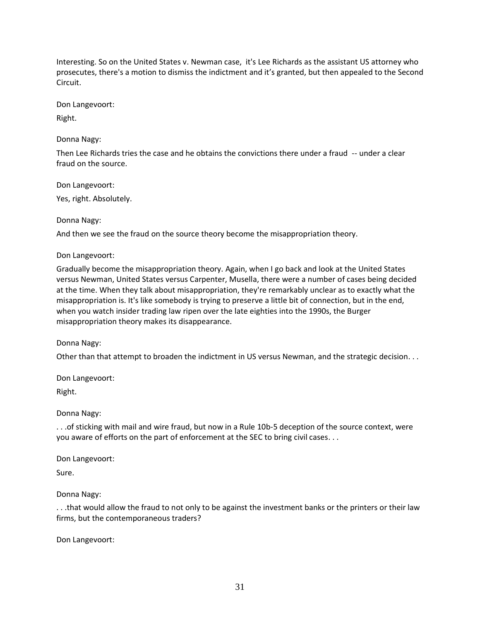Interesting. So on the United States v. Newman case, it's Lee Richards as the assistant US attorney who prosecutes, there's a motion to dismiss the indictment and it's granted, but then appealed to the Second Circuit.

Don Langevoort:

Right.

Donna Nagy:

Then Lee Richards tries the case and he obtains the convictions there under a fraud -- under a clear fraud on the source.

Don Langevoort:

Yes, right. Absolutely.

Donna Nagy:

And then we see the fraud on the source theory become the misappropriation theory.

Don Langevoort:

Gradually become the misappropriation theory. Again, when I go back and look at the United States versus Newman, United States versus Carpenter, Musella, there were a number of cases being decided at the time. When they talk about misappropriation, they're remarkably unclear as to exactly what the misappropriation is. It's like somebody is trying to preserve a little bit of connection, but in the end, when you watch insider trading law ripen over the late eighties into the 1990s, the Burger misappropriation theory makes its disappearance.

Donna Nagy:

Other than that attempt to broaden the indictment in US versus Newman, and the strategic decision. . .

Don Langevoort:

Right.

Donna Nagy:

. . .of sticking with mail and wire fraud, but now in a Rule 10b-5 deception of the source context, were you aware of efforts on the part of enforcement at the SEC to bring civil cases. . .

Don Langevoort:

Sure.

Donna Nagy:

. . .that would allow the fraud to not only to be against the investment banks or the printers or their law firms, but the contemporaneous traders?

Don Langevoort: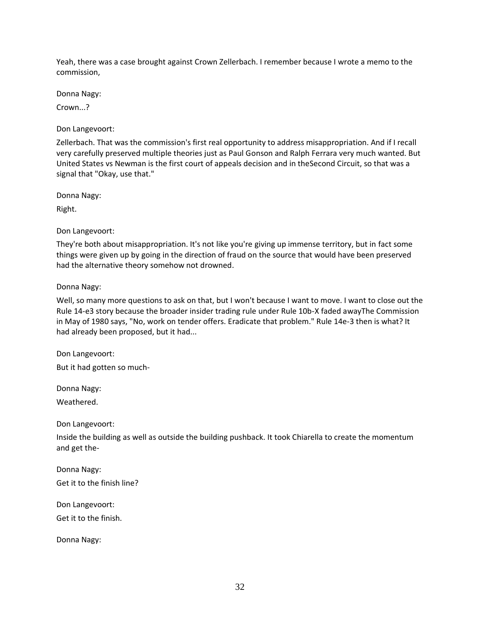Yeah, there was a case brought against Crown Zellerbach. I remember because I wrote a memo to the commission,

Donna Nagy:

Crown...?

Don Langevoort:

Zellerbach. That was the commission's first real opportunity to address misappropriation. And if I recall very carefully preserved multiple theories just as Paul Gonson and Ralph Ferrara very much wanted. But United States vs Newman is the first court of appeals decision and in theSecond Circuit, so that was a signal that "Okay, use that."

Donna Nagy:

Right.

Don Langevoort:

They're both about misappropriation. It's not like you're giving up immense territory, but in fact some things were given up by going in the direction of fraud on the source that would have been preserved had the alternative theory somehow not drowned.

Donna Nagy:

Well, so many more questions to ask on that, but I won't because I want to move. I want to close out the Rule 14-e3 story because the broader insider trading rule under Rule 10b-X faded awayThe Commission in May of 1980 says, "No, work on tender offers. Eradicate that problem." Rule 14e-3 then is what? It had already been proposed, but it had...

Don Langevoort:

But it had gotten so much-

Donna Nagy:

Weathered.

Don Langevoort:

Inside the building as well as outside the building pushback. It took Chiarella to create the momentum and get the-

Donna Nagy: Get it to the finish line?

Don Langevoort:

Get it to the finish.

Donna Nagy: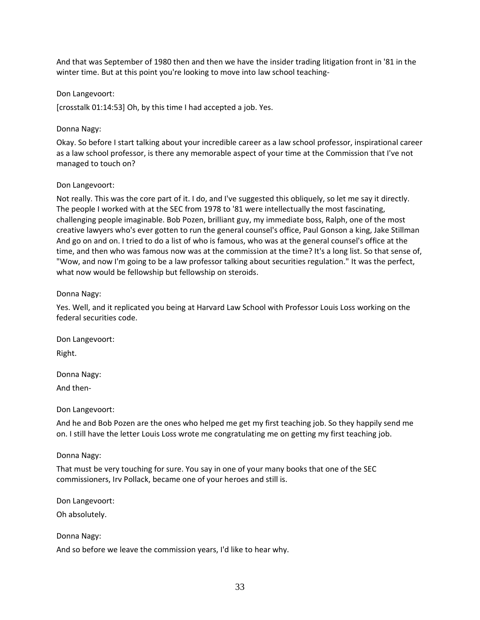And that was September of 1980 then and then we have the insider trading litigation front in '81 in the winter time. But at this point you're looking to move into law school teaching-

### Don Langevoort:

[crosstalk 01:14:53] Oh, by this time I had accepted a job. Yes.

#### Donna Nagy:

Okay. So before I start talking about your incredible career as a law school professor, inspirational career as a law school professor, is there any memorable aspect of your time at the Commission that I've not managed to touch on?

#### Don Langevoort:

Not really. This was the core part of it. I do, and I've suggested this obliquely, so let me say it directly. The people I worked with at the SEC from 1978 to '81 were intellectually the most fascinating, challenging people imaginable. Bob Pozen, brilliant guy, my immediate boss, Ralph, one of the most creative lawyers who's ever gotten to run the general counsel's office, Paul Gonson a king, Jake Stillman And go on and on. I tried to do a list of who is famous, who was at the general counsel's office at the time, and then who was famous now was at the commission at the time? It's a long list. So that sense of, "Wow, and now I'm going to be a law professor talking about securities regulation." It was the perfect, what now would be fellowship but fellowship on steroids.

#### Donna Nagy:

Yes. Well, and it replicated you being at Harvard Law School with Professor Louis Loss working on the federal securities code.

Don Langevoort: Right.

Donna Nagy:

And then-

#### Don Langevoort:

And he and Bob Pozen are the ones who helped me get my first teaching job. So they happily send me on. I still have the letter Louis Loss wrote me congratulating me on getting my first teaching job.

### Donna Nagy:

That must be very touching for sure. You say in one of your many books that one of the SEC commissioners, Irv Pollack, became one of your heroes and still is.

Don Langevoort:

Oh absolutely.

#### Donna Nagy:

And so before we leave the commission years, I'd like to hear why.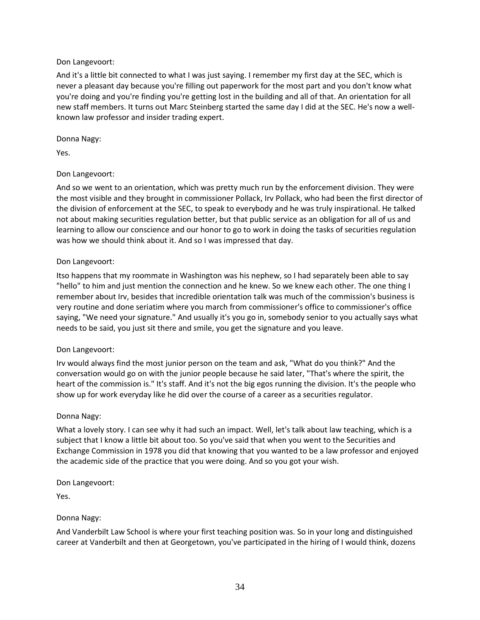And it's a little bit connected to what I was just saying. I remember my first day at the SEC, which is never a pleasant day because you're filling out paperwork for the most part and you don't know what you're doing and you're finding you're getting lost in the building and all of that. An orientation for all new staff members. It turns out Marc Steinberg started the same day I did at the SEC. He's now a wellknown law professor and insider trading expert.

Donna Nagy:

Yes.

# Don Langevoort:

And so we went to an orientation, which was pretty much run by the enforcement division. They were the most visible and they brought in commissioner Pollack, Irv Pollack, who had been the first director of the division of enforcement at the SEC, to speak to everybody and he was truly inspirational. He talked not about making securities regulation better, but that public service as an obligation for all of us and learning to allow our conscience and our honor to go to work in doing the tasks of securities regulation was how we should think about it. And so I was impressed that day.

## Don Langevoort:

Itso happens that my roommate in Washington was his nephew, so I had separately been able to say "hello" to him and just mention the connection and he knew. So we knew each other. The one thing I remember about Irv, besides that incredible orientation talk was much of the commission's business is very routine and done seriatim where you march from commissioner's office to commissioner's office saying, "We need your signature." And usually it's you go in, somebody senior to you actually says what needs to be said, you just sit there and smile, you get the signature and you leave.

# Don Langevoort:

Irv would always find the most junior person on the team and ask, "What do you think?" And the conversation would go on with the junior people because he said later, "That's where the spirit, the heart of the commission is." It's staff. And it's not the big egos running the division. It's the people who show up for work everyday like he did over the course of a career as a securities regulator.

### Donna Nagy:

What a lovely story. I can see why it had such an impact. Well, let's talk about law teaching, which is a subject that I know a little bit about too. So you've said that when you went to the Securities and Exchange Commission in 1978 you did that knowing that you wanted to be a law professor and enjoyed the academic side of the practice that you were doing. And so you got your wish.

Don Langevoort:

Yes.

# Donna Nagy:

And Vanderbilt Law School is where your first teaching position was. So in your long and distinguished career at Vanderbilt and then at Georgetown, you've participated in the hiring of I would think, dozens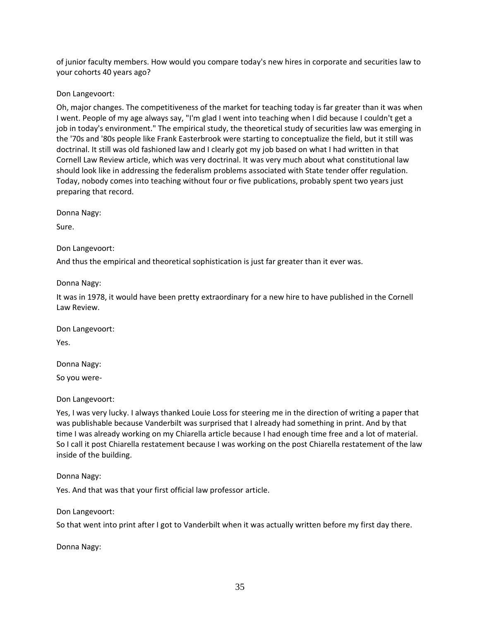of junior faculty members. How would you compare today's new hires in corporate and securities law to your cohorts 40 years ago?

Don Langevoort:

Oh, major changes. The competitiveness of the market for teaching today is far greater than it was when I went. People of my age always say, "I'm glad I went into teaching when I did because I couldn't get a job in today's environment." The empirical study, the theoretical study of securities law was emerging in the '70s and '80s people like Frank Easterbrook were starting to conceptualize the field, but it still was doctrinal. It still was old fashioned law and I clearly got my job based on what I had written in that Cornell Law Review article, which was very doctrinal. It was very much about what constitutional law should look like in addressing the federalism problems associated with State tender offer regulation. Today, nobody comes into teaching without four or five publications, probably spent two years just preparing that record.

Donna Nagy:

Sure.

Don Langevoort:

And thus the empirical and theoretical sophistication is just far greater than it ever was.

Donna Nagy:

It was in 1978, it would have been pretty extraordinary for a new hire to have published in the Cornell Law Review.

Don Langevoort:

Yes.

Donna Nagy: So you were-

Don Langevoort:

Yes, I was very lucky. I always thanked Louie Loss for steering me in the direction of writing a paper that was publishable because Vanderbilt was surprised that I already had something in print. And by that time I was already working on my Chiarella article because I had enough time free and a lot of material. So I call it post Chiarella restatement because I was working on the post Chiarella restatement of the law inside of the building.

Donna Nagy:

Yes. And that was that your first official law professor article.

Don Langevoort:

So that went into print after I got to Vanderbilt when it was actually written before my first day there.

Donna Nagy: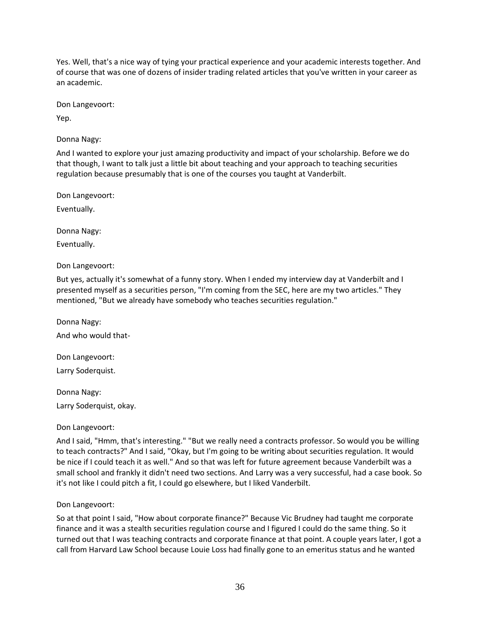Yes. Well, that's a nice way of tying your practical experience and your academic interests together. And of course that was one of dozens of insider trading related articles that you've written in your career as an academic.

Don Langevoort:

Yep.

Donna Nagy:

And I wanted to explore your just amazing productivity and impact of your scholarship. Before we do that though, I want to talk just a little bit about teaching and your approach to teaching securities regulation because presumably that is one of the courses you taught at Vanderbilt.

Don Langevoort:

Eventually.

Donna Nagy: Eventually.

Don Langevoort:

But yes, actually it's somewhat of a funny story. When I ended my interview day at Vanderbilt and I presented myself as a securities person, "I'm coming from the SEC, here are my two articles." They mentioned, "But we already have somebody who teaches securities regulation."

Donna Nagy: And who would that-

Don Langevoort: Larry Soderquist.

Donna Nagy: Larry Soderquist, okay.

Don Langevoort:

And I said, "Hmm, that's interesting." "But we really need a contracts professor. So would you be willing to teach contracts?" And I said, "Okay, but I'm going to be writing about securities regulation. It would be nice if I could teach it as well." And so that was left for future agreement because Vanderbilt was a small school and frankly it didn't need two sections. And Larry was a very successful, had a case book. So it's not like I could pitch a fit, I could go elsewhere, but I liked Vanderbilt.

### Don Langevoort:

So at that point I said, "How about corporate finance?" Because Vic Brudney had taught me corporate finance and it was a stealth securities regulation course and I figured I could do the same thing. So it turned out that I was teaching contracts and corporate finance at that point. A couple years later, I got a call from Harvard Law School because Louie Loss had finally gone to an emeritus status and he wanted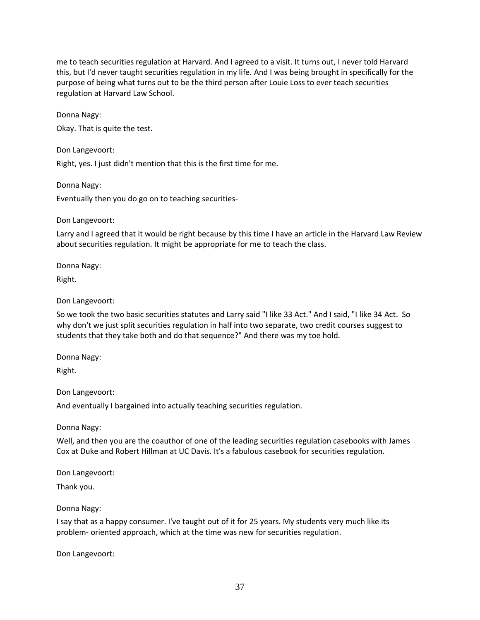me to teach securities regulation at Harvard. And I agreed to a visit. It turns out, I never told Harvard this, but I'd never taught securities regulation in my life. And I was being brought in specifically for the purpose of being what turns out to be the third person after Louie Loss to ever teach securities regulation at Harvard Law School.

Donna Nagy: Okay. That is quite the test.

Don Langevoort: Right, yes. I just didn't mention that this is the first time for me.

Donna Nagy: Eventually then you do go on to teaching securities-

Don Langevoort:

Larry and I agreed that it would be right because by this time I have an article in the Harvard Law Review about securities regulation. It might be appropriate for me to teach the class.

Donna Nagy:

Right.

Don Langevoort:

So we took the two basic securities statutes and Larry said "I like 33 Act." And I said, "I like 34 Act. So why don't we just split securities regulation in half into two separate, two credit courses suggest to students that they take both and do that sequence?" And there was my toe hold.

Donna Nagy:

Right.

Don Langevoort:

And eventually I bargained into actually teaching securities regulation.

Donna Nagy:

Well, and then you are the coauthor of one of the leading securities regulation casebooks with James Cox at Duke and Robert Hillman at UC Davis. It's a fabulous casebook for securities regulation.

Don Langevoort:

Thank you.

Donna Nagy:

I say that as a happy consumer. I've taught out of it for 25 years. My students very much like its problem- oriented approach, which at the time was new for securities regulation.

Don Langevoort: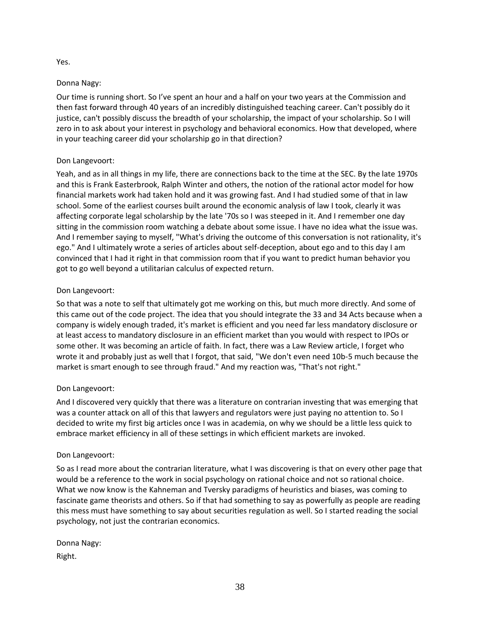## Yes.

## Donna Nagy:

Our time is running short. So I've spent an hour and a half on your two years at the Commission and then fast forward through 40 years of an incredibly distinguished teaching career. Can't possibly do it justice, can't possibly discuss the breadth of your scholarship, the impact of your scholarship. So I will zero in to ask about your interest in psychology and behavioral economics. How that developed, where in your teaching career did your scholarship go in that direction?

## Don Langevoort:

Yeah, and as in all things in my life, there are connections back to the time at the SEC. By the late 1970s and this is Frank Easterbrook, Ralph Winter and others, the notion of the rational actor model for how financial markets work had taken hold and it was growing fast. And I had studied some of that in law school. Some of the earliest courses built around the economic analysis of law I took, clearly it was affecting corporate legal scholarship by the late '70s so I was steeped in it. And I remember one day sitting in the commission room watching a debate about some issue. I have no idea what the issue was. And I remember saying to myself, "What's driving the outcome of this conversation is not rationality, it's ego." And I ultimately wrote a series of articles about self-deception, about ego and to this day I am convinced that I had it right in that commission room that if you want to predict human behavior you got to go well beyond a utilitarian calculus of expected return.

## Don Langevoort:

So that was a note to self that ultimately got me working on this, but much more directly. And some of this came out of the code project. The idea that you should integrate the 33 and 34 Acts because when a company is widely enough traded, it's market is efficient and you need far less mandatory disclosure or at least access to mandatory disclosure in an efficient market than you would with respect to IPOs or some other. It was becoming an article of faith. In fact, there was a Law Review article, I forget who wrote it and probably just as well that I forgot, that said, "We don't even need 10b-5 much because the market is smart enough to see through fraud." And my reaction was, "That's not right."

### Don Langevoort:

And I discovered very quickly that there was a literature on contrarian investing that was emerging that was a counter attack on all of this that lawyers and regulators were just paying no attention to. So I decided to write my first big articles once I was in academia, on why we should be a little less quick to embrace market efficiency in all of these settings in which efficient markets are invoked.

### Don Langevoort:

So as I read more about the contrarian literature, what I was discovering is that on every other page that would be a reference to the work in social psychology on rational choice and not so rational choice. What we now know is the Kahneman and Tversky paradigms of heuristics and biases, was coming to fascinate game theorists and others. So if that had something to say as powerfully as people are reading this mess must have something to say about securities regulation as well. So I started reading the social psychology, not just the contrarian economics.

Donna Nagy: Right.